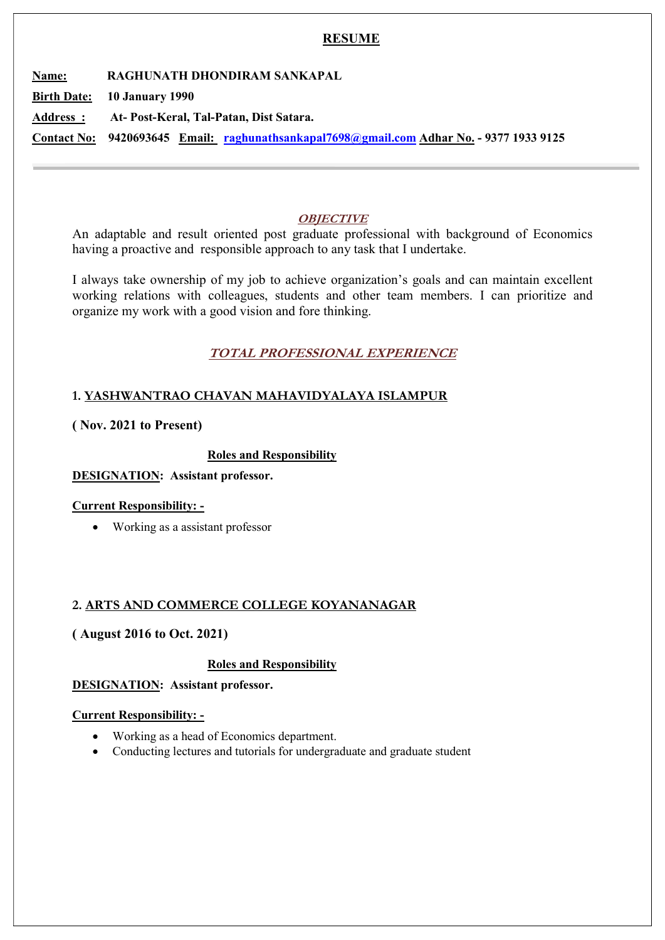### **RESUME**

Name: RAGHUNATH DHONDIRAM SANKAPAL

Birth Date: 10 January 1990

Address : At- Post-Keral, Tal-Patan, Dist Satara.

Contact No: 9420693645 Email: raghunathsankapal7698@gmail.com Adhar No. - 9377 1933 9125

## **OBJECTIVE**

An adaptable and result oriented post graduate professional with background of Economics having a proactive and responsible approach to any task that I undertake.

I always take ownership of my job to achieve organization's goals and can maintain excellent working relations with colleagues, students and other team members. I can prioritize and organize my work with a good vision and fore thinking.

# TOTAL PROFESSIONAL EXPERIENCE

# 1. YASHWANTRAO CHAVAN MAHAVIDYALAYA ISLAMPUR

### ( Nov. 2021 to Present)

### Roles and Responsibility

### DESIGNATION: Assistant professor.

### Current Responsibility: -

Working as a assistant professor

## 2. ARTS AND COMMERCE COLLEGE KOYANANAGAR

## ( August 2016 to Oct. 2021)

### Roles and Responsibility

### DESIGNATION: Assistant professor.

### Current Responsibility: -

- Working as a head of Economics department.
- Conducting lectures and tutorials for undergraduate and graduate student